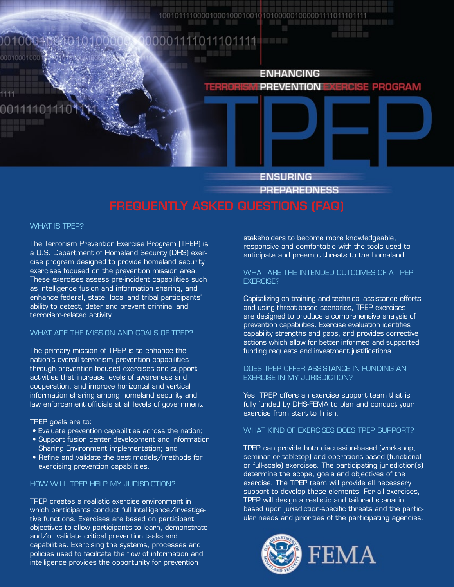#### 0010004004010000 0001111011101111

**ENHANCING PREVENTION E ERGISE PROGRAM** 

> **ENSURING PREPAREDNESS**

#### What is TPEP?

00010001000

The Terrorism Prevention Exercise Program (TPEP) is a U.S. Department of Homeland Security (DHS) exercise program designed to provide homeland security exercises focused on the prevention mission area. These exercises assess pre-incident capabilities such as intelligence fusion and information sharing, and enhance federal, state, local and tribal participants' ability to detect, deter and prevent criminal and terrorism-related activity.

## What are the mission and goals of TPEP?

The primary mission of TPEP is to enhance the nation's overall terrorism prevention capabilities through prevention-focused exercises and support activities that increase levels of awareness and cooperation, and improve horizontal and vertical information sharing among homeland security and law enforcement officials at all levels of government.

TPEP goals are to:

- Evaluate prevention capabilities across the nation;
- Support fusion center development and Information Sharing Environment implementation; and
- Refine and validate the best models/methods for exercising prevention capabilities.

#### HOW WILL TPEP HELP MY JURISDICTION?

TPEP creates a realistic exercise environment in which participants conduct full intelligence/investigative functions. Exercises are based on participant objectives to allow participants to learn, demonstrate and/or validate critical prevention tasks and capabilities. Exercising the systems, processes and policies used to facilitate the flow of information and intelligence provides the opportunity for prevention

stakeholders to become more knowledgeable, responsive and comfortable with the tools used to anticipate and preempt threats to the homeland.

### What are the intended outcomes of a TPEP **EXERCISE?**

Capitalizing on training and technical assistance efforts and using threat-based scenarios, TPEP exercises are designed to produce a comprehensive analysis of prevention capabilities. Exercise evaluation identifies capability strengths and gaps, and provides corrective actions which allow for better informed and supported funding requests and investment justifications.

### Does TPEP offer assistance in funding an exercise in my jurisdiction?

Yes. TPEP offers an exercise support team that is fully funded by DHS-FEMA to plan and conduct your exercise from start to finish.

### What kind of exercises does TPEP support?

TPEP can provide both discussion-based (workshop, seminar or tabletop) and operations-based (functional or full-scale) exercises. The participating jurisdiction(s) determine the scope, goals and objectives of the exercise. The TPEP team will provide all necessary support to develop these elements. For all exercises, TPEP will design a realistic and tailored scenario based upon jurisdiction-specific threats and the particular needs and priorities of the participating agencies.